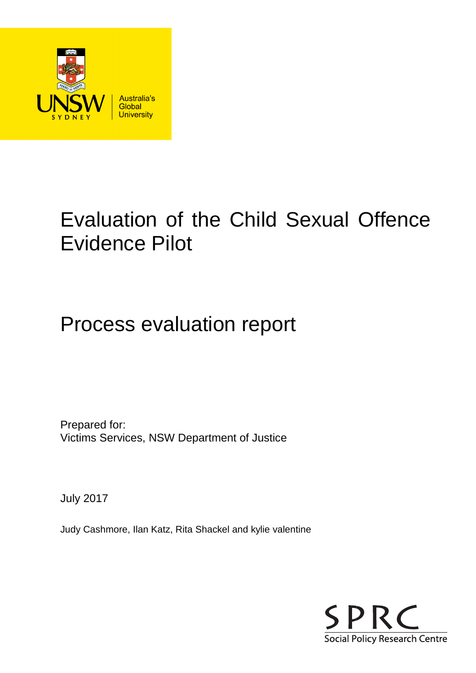

# Evaluation of the Child Sexual Offence Evidence Pilot

# Process evaluation report

Prepared for: Victims Services, NSW Department of Justice

July 2017

Judy Cashmore, Ilan Katz, Rita Shackel and kylie valentine

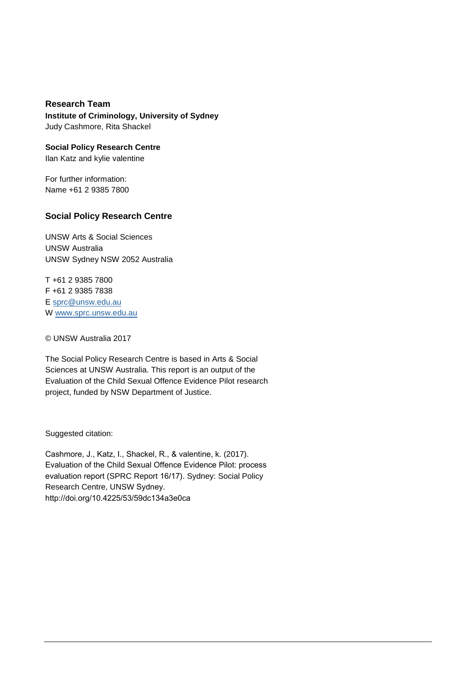**Research Team Institute of Criminology, University of Sydney** Judy Cashmore, Rita Shackel

**Social Policy Research Centre** Ilan Katz and kylie valentine

For further information: Name +61 2 9385 7800

#### **Social Policy Research Centre**

UNSW Arts & Social Sciences UNSW Australia UNSW Sydney NSW 2052 Australia

T +61 2 9385 7800 F +61 2 9385 7838 E sprc@unsw.edu.au W www.sprc.unsw.edu.au

© UNSW Australia 2017

The Social Policy Research Centre is based in Arts & Social Sciences at UNSW Australia. This report is an output of the Evaluation of the Child Sexual Offence Evidence Pilot research project, funded by NSW Department of Justice.

Suggested citation:

Cashmore, J., Katz, I., Shackel, R., & valentine, k. (2017). Evaluation of the Child Sexual Offence Evidence Pilot: process evaluation report (SPRC Report 16/17). Sydney: Social Policy Research Centre, UNSW Sydney. http://doi.org/10.4225/53/59dc134a3e0ca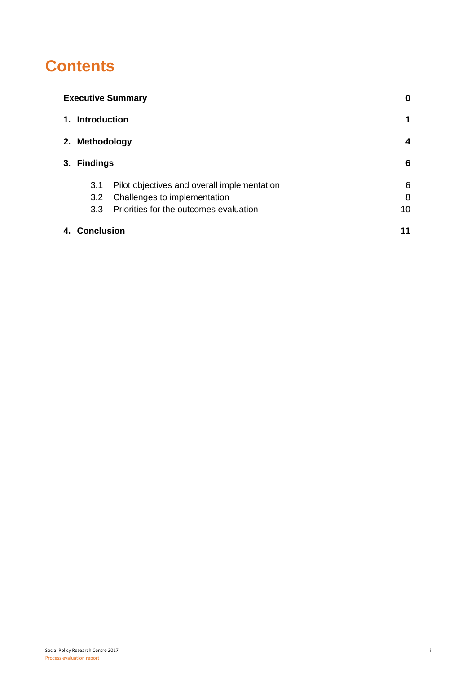### **Contents**

|    | <b>Executive Summary</b> |                                             |    |  |
|----|--------------------------|---------------------------------------------|----|--|
|    | 1. Introduction          |                                             | 1  |  |
|    | 2. Methodology           |                                             |    |  |
|    | 3. Findings              | 6                                           |    |  |
|    | 3.1                      | Pilot objectives and overall implementation | 6  |  |
|    | 3.2                      | Challenges to implementation                | 8  |  |
|    | 3.3 <sub>2</sub>         | Priorities for the outcomes evaluation      | 10 |  |
| 4. | Conclusion               |                                             | 11 |  |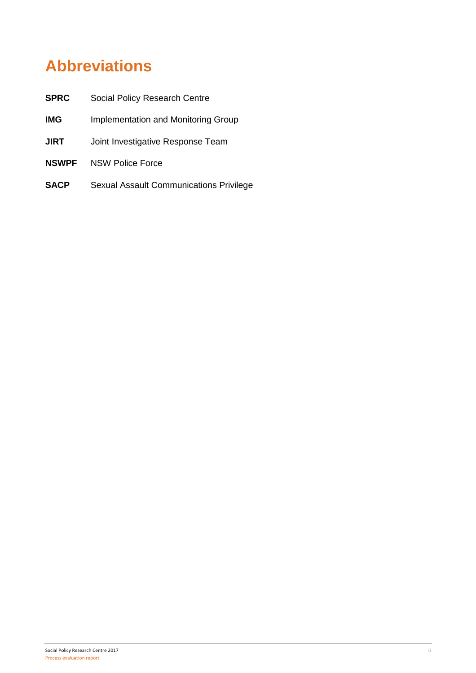# **Abbreviations**

| <b>SPRC</b>  | Social Policy Research Centre           |
|--------------|-----------------------------------------|
| <b>IMG</b>   | Implementation and Monitoring Group     |
| <b>JIRT</b>  | Joint Investigative Response Team       |
| <b>NSWPF</b> | <b>NSW Police Force</b>                 |
| <b>SACP</b>  | Sexual Assault Communications Privilege |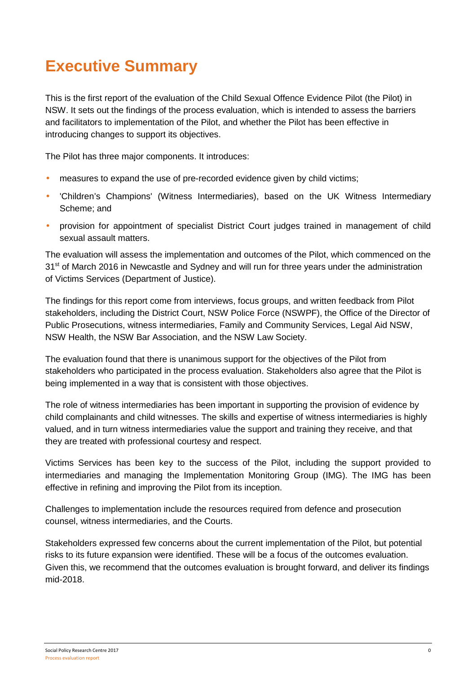## **Executive Summary**

This is the first report of the evaluation of the Child Sexual Offence Evidence Pilot (the Pilot) in NSW. It sets out the findings of the process evaluation, which is intended to assess the barriers and facilitators to implementation of the Pilot, and whether the Pilot has been effective in introducing changes to support its objectives.

The Pilot has three major components. It introduces:

- measures to expand the use of pre-recorded evidence given by child victims;
- 'Children's Champions' (Witness Intermediaries), based on the UK Witness Intermediary Scheme; and
- provision for appointment of specialist District Court judges trained in management of child sexual assault matters.

The evaluation will assess the implementation and outcomes of the Pilot, which commenced on the 31<sup>st</sup> of March 2016 in Newcastle and Sydney and will run for three years under the administration of Victims Services (Department of Justice).

The findings for this report come from interviews, focus groups, and written feedback from Pilot stakeholders, including the District Court, NSW Police Force (NSWPF), the Office of the Director of Public Prosecutions, witness intermediaries, Family and Community Services, Legal Aid NSW, NSW Health, the NSW Bar Association, and the NSW Law Society.

The evaluation found that there is unanimous support for the objectives of the Pilot from stakeholders who participated in the process evaluation. Stakeholders also agree that the Pilot is being implemented in a way that is consistent with those objectives.

The role of witness intermediaries has been important in supporting the provision of evidence by child complainants and child witnesses. The skills and expertise of witness intermediaries is highly valued, and in turn witness intermediaries value the support and training they receive, and that they are treated with professional courtesy and respect.

Victims Services has been key to the success of the Pilot, including the support provided to intermediaries and managing the Implementation Monitoring Group (IMG). The IMG has been effective in refining and improving the Pilot from its inception.

Challenges to implementation include the resources required from defence and prosecution counsel, witness intermediaries, and the Courts.

Stakeholders expressed few concerns about the current implementation of the Pilot, but potential risks to its future expansion were identified. These will be a focus of the outcomes evaluation. Given this, we recommend that the outcomes evaluation is brought forward, and deliver its findings mid-2018.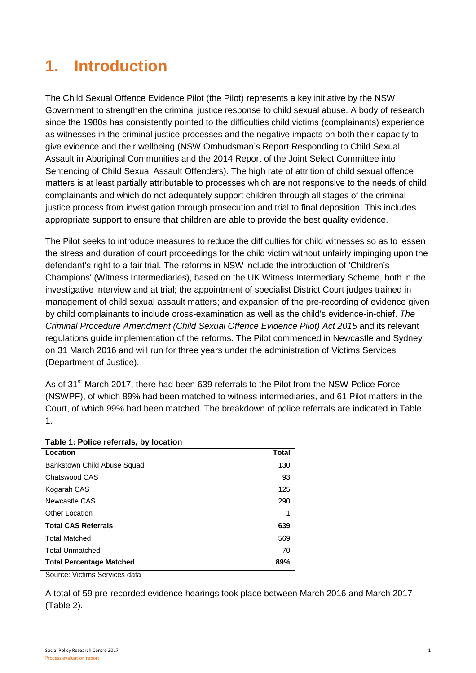# **1. Introduction**

The Child Sexual Offence Evidence Pilot (the Pilot) represents a key initiative by the NSW Government to strengthen the criminal justice response to child sexual abuse. A body of research since the 1980s has consistently pointed to the difficulties child victims (complainants) experience as witnesses in the criminal justice processes and the negative impacts on both their capacity to give evidence and their wellbeing (NSW Ombudsman's Report Responding to Child Sexual Assault in Aboriginal Communities and the 2014 Report of the Joint Select Committee into Sentencing of Child Sexual Assault Offenders). The high rate of attrition of child sexual offence matters is at least partially attributable to processes which are not responsive to the needs of child complainants and which do not adequately support children through all stages of the criminal justice process from investigation through prosecution and trial to final deposition. This includes appropriate support to ensure that children are able to provide the best quality evidence.

The Pilot seeks to introduce measures to reduce the difficulties for child witnesses so as to lessen the stress and duration of court proceedings for the child victim without unfairly impinging upon the defendant's right to a fair trial. The reforms in NSW include the introduction of 'Children's Champions' (Witness Intermediaries), based on the UK Witness Intermediary Scheme, both in the investigative interview and at trial; the appointment of specialist District Court judges trained in management of child sexual assault matters; and expansion of the pre-recording of evidence given by child complainants to include cross-examination as well as the child's evidence-in-chief. The Criminal Procedure Amendment (Child Sexual Offence Evidence Pilot) Act 2015 and its relevant regulations guide implementation of the reforms. The Pilot commenced in Newcastle and Sydney on 31 March 2016 and will run for three years under the administration of Victims Services (Department of Justice).

As of 31<sup>st</sup> March 2017, there had been 639 referrals to the Pilot from the NSW Police Force (NSWPF), of which 89% had been matched to witness intermediaries, and 61 Pilot matters in the Court, of which 99% had been matched. The breakdown of police referrals are indicated in Table 1.

| Table 1. Follce relefrais, by location |              |  |  |  |
|----------------------------------------|--------------|--|--|--|
| Location                               | <b>Total</b> |  |  |  |
| Bankstown Child Abuse Squad            | 130          |  |  |  |
| Chatswood CAS                          | 93           |  |  |  |
| Kogarah CAS                            | 125          |  |  |  |
| Newcastle CAS                          | 290          |  |  |  |
| <b>Other Location</b>                  | 1            |  |  |  |
| <b>Total CAS Referrals</b>             | 639          |  |  |  |
| <b>Total Matched</b>                   | 569          |  |  |  |
| <b>Total Unmatched</b>                 | 70           |  |  |  |
| <b>Total Percentage Matched</b><br>89% |              |  |  |  |

**Table 1: Police referrals, by location** 

Source: Victims Services data

A total of 59 pre-recorded evidence hearings took place between March 2016 and March 2017 (Table 2).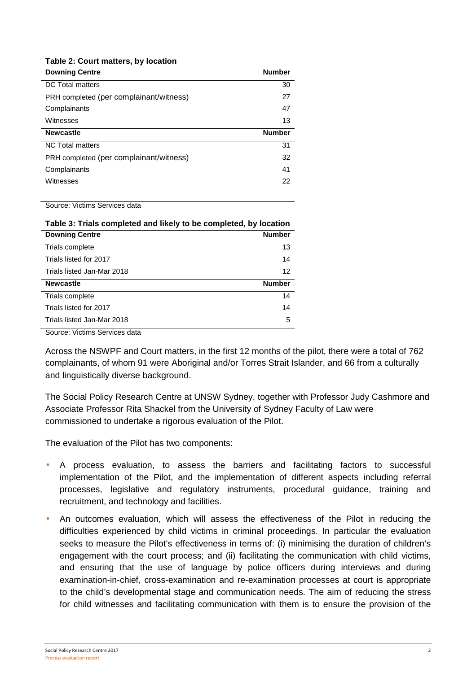#### **Table 2: Court matters, by location**

| <b>Downing Centre</b>                   | <b>Number</b> |
|-----------------------------------------|---------------|
| <b>DC</b> Total matters                 | 30            |
| PRH completed (per complainant/witness) | 27            |
| Complainants                            | 47            |
| Witnesses                               | 13            |
|                                         |               |
| <b>Newcastle</b>                        | <b>Number</b> |
| <b>NC Total matters</b>                 | 31            |
| PRH completed (per complainant/witness) | 32            |
| Complainants                            | 41            |
| Witnesses                               | 22            |

Source: Victims Services data

| Table 3: Trials completed and likely to be completed, by location |                   |  |  |
|-------------------------------------------------------------------|-------------------|--|--|
| <b>Downing Centre</b>                                             | <b>Number</b>     |  |  |
| Trials complete                                                   | 13                |  |  |
| Trials listed for 2017                                            | 14                |  |  |
| Trials listed Jan-Mar 2018                                        | $12 \overline{ }$ |  |  |
| <b>Newcastle</b>                                                  | <b>Number</b>     |  |  |
| Trials complete                                                   | 14                |  |  |
| Trials listed for 2017                                            | 14                |  |  |
| Trials listed Jan-Mar 2018                                        | 5                 |  |  |
| Source: Victims Services data                                     |                   |  |  |

Across the NSWPF and Court matters, in the first 12 months of the pilot, there were a total of 762 complainants, of whom 91 were Aboriginal and/or Torres Strait Islander, and 66 from a culturally and linguistically diverse background.

The Social Policy Research Centre at UNSW Sydney, together with Professor Judy Cashmore and Associate Professor Rita Shackel from the University of Sydney Faculty of Law were commissioned to undertake a rigorous evaluation of the Pilot.

The evaluation of the Pilot has two components:

- A process evaluation, to assess the barriers and facilitating factors to successful implementation of the Pilot, and the implementation of different aspects including referral processes, legislative and regulatory instruments, procedural guidance, training and recruitment, and technology and facilities.
- An outcomes evaluation, which will assess the effectiveness of the Pilot in reducing the difficulties experienced by child victims in criminal proceedings. In particular the evaluation seeks to measure the Pilot's effectiveness in terms of: (i) minimising the duration of children's engagement with the court process; and (ii) facilitating the communication with child victims, and ensuring that the use of language by police officers during interviews and during examination-in-chief, cross-examination and re-examination processes at court is appropriate to the child's developmental stage and communication needs. The aim of reducing the stress for child witnesses and facilitating communication with them is to ensure the provision of the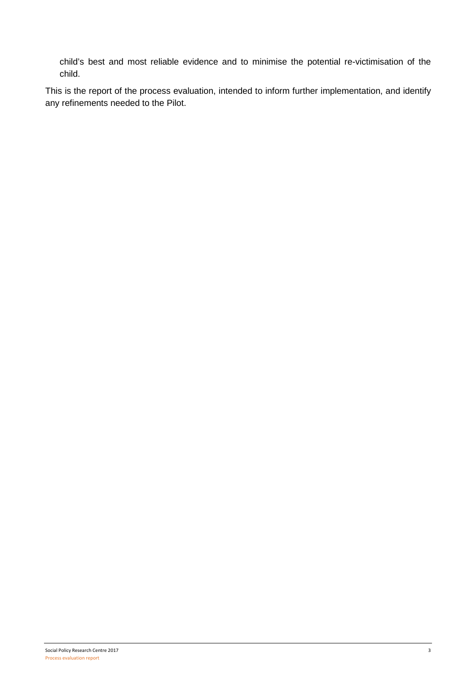child's best and most reliable evidence and to minimise the potential re-victimisation of the child.

This is the report of the process evaluation, intended to inform further implementation, and identify any refinements needed to the Pilot.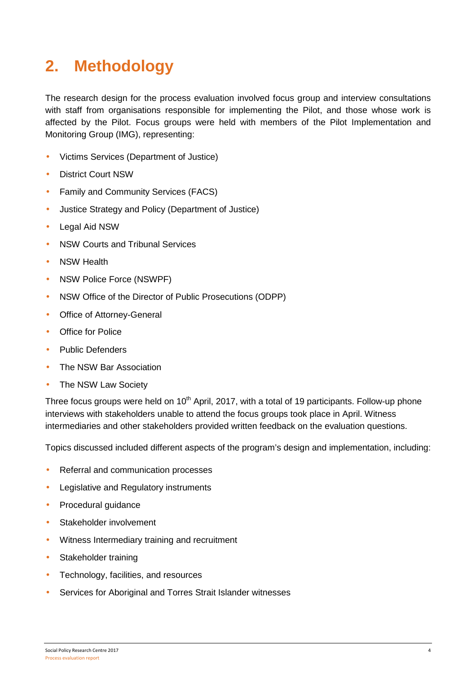# **2. Methodology**

The research design for the process evaluation involved focus group and interview consultations with staff from organisations responsible for implementing the Pilot, and those whose work is affected by the Pilot. Focus groups were held with members of the Pilot Implementation and Monitoring Group (IMG), representing:

- Victims Services (Department of Justice)
- District Court NSW
- Family and Community Services (FACS)
- Justice Strategy and Policy (Department of Justice)
- Legal Aid NSW
- NSW Courts and Tribunal Services
- NSW Health
- NSW Police Force (NSWPF)
- NSW Office of the Director of Public Prosecutions (ODPP)
- Office of Attorney-General
- Office for Police
- Public Defenders
- The NSW Bar Association
- The NSW Law Society

Three focus groups were held on 10<sup>th</sup> April, 2017, with a total of 19 participants. Follow-up phone interviews with stakeholders unable to attend the focus groups took place in April. Witness intermediaries and other stakeholders provided written feedback on the evaluation questions.

Topics discussed included different aspects of the program's design and implementation, including:

- Referral and communication processes
- Legislative and Regulatory instruments
- Procedural guidance
- Stakeholder involvement
- Witness Intermediary training and recruitment
- Stakeholder training
- Technology, facilities, and resources
- Services for Aboriginal and Torres Strait Islander witnesses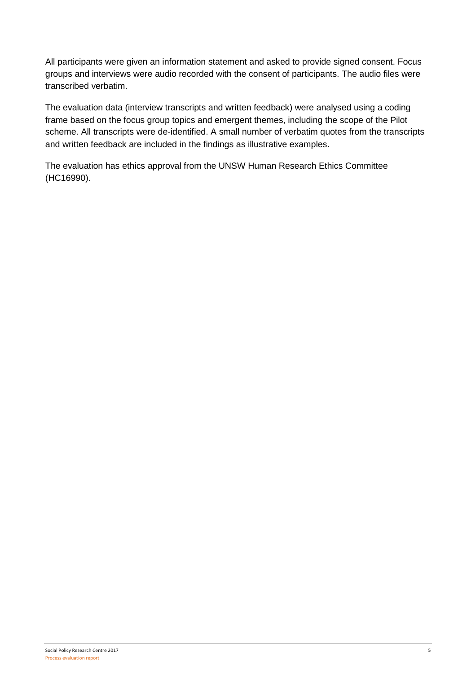All participants were given an information statement and asked to provide signed consent. Focus groups and interviews were audio recorded with the consent of participants. The audio files were transcribed verbatim.

The evaluation data (interview transcripts and written feedback) were analysed using a coding frame based on the focus group topics and emergent themes, including the scope of the Pilot scheme. All transcripts were de-identified. A small number of verbatim quotes from the transcripts and written feedback are included in the findings as illustrative examples.

The evaluation has ethics approval from the UNSW Human Research Ethics Committee (HC16990).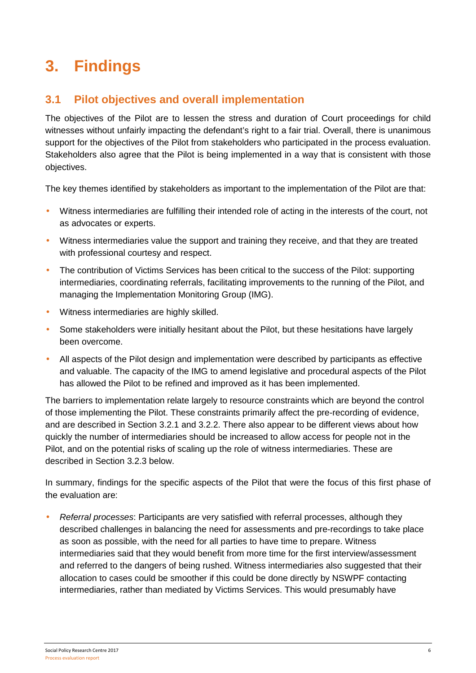# **3. Findings**

### **3.1 Pilot objectives and overall implementation**

The objectives of the Pilot are to lessen the stress and duration of Court proceedings for child witnesses without unfairly impacting the defendant's right to a fair trial. Overall, there is unanimous support for the objectives of the Pilot from stakeholders who participated in the process evaluation. Stakeholders also agree that the Pilot is being implemented in a way that is consistent with those objectives.

The key themes identified by stakeholders as important to the implementation of the Pilot are that:

- Witness intermediaries are fulfilling their intended role of acting in the interests of the court, not as advocates or experts.
- Witness intermediaries value the support and training they receive, and that they are treated with professional courtesy and respect.
- The contribution of Victims Services has been critical to the success of the Pilot: supporting intermediaries, coordinating referrals, facilitating improvements to the running of the Pilot, and managing the Implementation Monitoring Group (IMG).
- Witness intermediaries are highly skilled.
- Some stakeholders were initially hesitant about the Pilot, but these hesitations have largely been overcome.
- All aspects of the Pilot design and implementation were described by participants as effective and valuable. The capacity of the IMG to amend legislative and procedural aspects of the Pilot has allowed the Pilot to be refined and improved as it has been implemented.

The barriers to implementation relate largely to resource constraints which are beyond the control of those implementing the Pilot. These constraints primarily affect the pre-recording of evidence, and are described in Section 3.2.1 and 3.2.2. There also appear to be different views about how quickly the number of intermediaries should be increased to allow access for people not in the Pilot, and on the potential risks of scaling up the role of witness intermediaries. These are described in Section 3.2.3 below.

In summary, findings for the specific aspects of the Pilot that were the focus of this first phase of the evaluation are:

• Referral processes: Participants are very satisfied with referral processes, although they described challenges in balancing the need for assessments and pre-recordings to take place as soon as possible, with the need for all parties to have time to prepare. Witness intermediaries said that they would benefit from more time for the first interview/assessment and referred to the dangers of being rushed. Witness intermediaries also suggested that their allocation to cases could be smoother if this could be done directly by NSWPF contacting intermediaries, rather than mediated by Victims Services. This would presumably have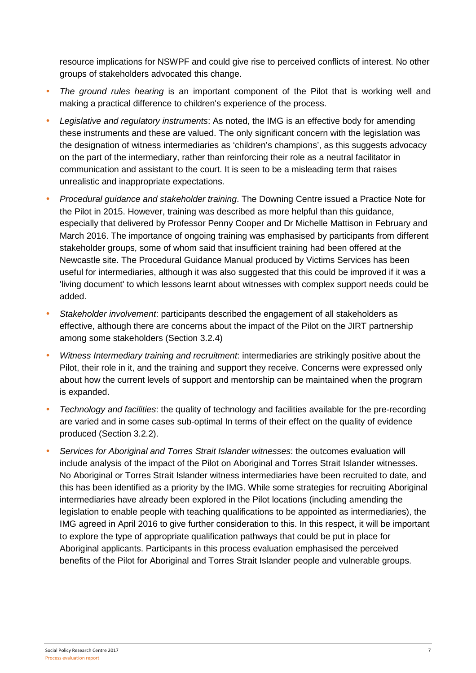resource implications for NSWPF and could give rise to perceived conflicts of interest. No other groups of stakeholders advocated this change.

- The ground rules hearing is an important component of the Pilot that is working well and making a practical difference to children's experience of the process.
- Legislative and regulatory instruments: As noted, the IMG is an effective body for amending these instruments and these are valued. The only significant concern with the legislation was the designation of witness intermediaries as 'children's champions', as this suggests advocacy on the part of the intermediary, rather than reinforcing their role as a neutral facilitator in communication and assistant to the court. It is seen to be a misleading term that raises unrealistic and inappropriate expectations.
- Procedural guidance and stakeholder training. The Downing Centre issued a Practice Note for the Pilot in 2015. However, training was described as more helpful than this guidance, especially that delivered by Professor Penny Cooper and Dr Michelle Mattison in February and March 2016. The importance of ongoing training was emphasised by participants from different stakeholder groups, some of whom said that insufficient training had been offered at the Newcastle site. The Procedural Guidance Manual produced by Victims Services has been useful for intermediaries, although it was also suggested that this could be improved if it was a 'living document' to which lessons learnt about witnesses with complex support needs could be added.
- Stakeholder involvement: participants described the engagement of all stakeholders as effective, although there are concerns about the impact of the Pilot on the JIRT partnership among some stakeholders (Section 3.2.4)
- Witness Intermediary training and recruitment: intermediaries are strikingly positive about the Pilot, their role in it, and the training and support they receive. Concerns were expressed only about how the current levels of support and mentorship can be maintained when the program is expanded.
- Technology and facilities: the quality of technology and facilities available for the pre-recording are varied and in some cases sub-optimal In terms of their effect on the quality of evidence produced (Section 3.2.2).
- Services for Aboriginal and Torres Strait Islander witnesses: the outcomes evaluation will include analysis of the impact of the Pilot on Aboriginal and Torres Strait Islander witnesses. No Aboriginal or Torres Strait Islander witness intermediaries have been recruited to date, and this has been identified as a priority by the IMG. While some strategies for recruiting Aboriginal intermediaries have already been explored in the Pilot locations (including amending the legislation to enable people with teaching qualifications to be appointed as intermediaries), the IMG agreed in April 2016 to give further consideration to this. In this respect, it will be important to explore the type of appropriate qualification pathways that could be put in place for Aboriginal applicants. Participants in this process evaluation emphasised the perceived benefits of the Pilot for Aboriginal and Torres Strait Islander people and vulnerable groups.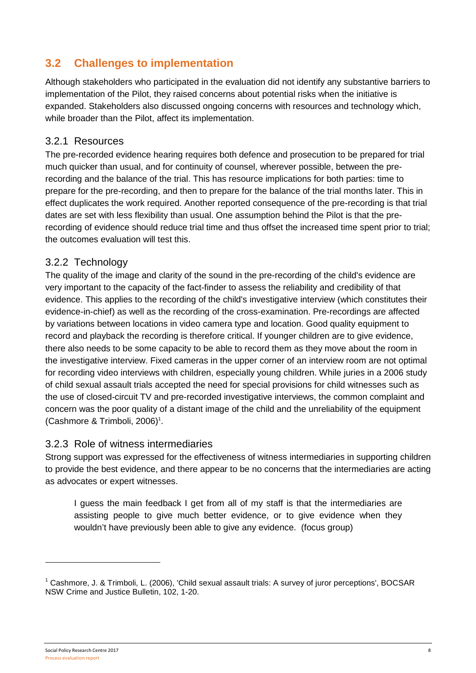### **3.2 Challenges to implementation**

Although stakeholders who participated in the evaluation did not identify any substantive barriers to implementation of the Pilot, they raised concerns about potential risks when the initiative is expanded. Stakeholders also discussed ongoing concerns with resources and technology which, while broader than the Pilot, affect its implementation.

### 3.2.1 Resources

The pre-recorded evidence hearing requires both defence and prosecution to be prepared for trial much quicker than usual, and for continuity of counsel, wherever possible, between the prerecording and the balance of the trial. This has resource implications for both parties: time to prepare for the pre-recording, and then to prepare for the balance of the trial months later. This in effect duplicates the work required. Another reported consequence of the pre-recording is that trial dates are set with less flexibility than usual. One assumption behind the Pilot is that the prerecording of evidence should reduce trial time and thus offset the increased time spent prior to trial; the outcomes evaluation will test this.

### 3.2.2 Technology

The quality of the image and clarity of the sound in the pre-recording of the child's evidence are very important to the capacity of the fact-finder to assess the reliability and credibility of that evidence. This applies to the recording of the child's investigative interview (which constitutes their evidence-in-chief) as well as the recording of the cross-examination. Pre-recordings are affected by variations between locations in video camera type and location. Good quality equipment to record and playback the recording is therefore critical. If younger children are to give evidence, there also needs to be some capacity to be able to record them as they move about the room in the investigative interview. Fixed cameras in the upper corner of an interview room are not optimal for recording video interviews with children, especially young children. While juries in a 2006 study of child sexual assault trials accepted the need for special provisions for child witnesses such as the use of closed-circuit TV and pre-recorded investigative interviews, the common complaint and concern was the poor quality of a distant image of the child and the unreliability of the equipment (Cashmore & Trimboli, 2006)<sup>1</sup>.

### 3.2.3 Role of witness intermediaries

Strong support was expressed for the effectiveness of witness intermediaries in supporting children to provide the best evidence, and there appear to be no concerns that the intermediaries are acting as advocates or expert witnesses.

I guess the main feedback I get from all of my staff is that the intermediaries are assisting people to give much better evidence, or to give evidence when they wouldn't have previously been able to give any evidence. (focus group)

<sup>&</sup>lt;sup>1</sup> Cashmore, J. & Trimboli, L. (2006), 'Child sexual assault trials: A survey of juror perceptions', BOCSAR NSW Crime and Justice Bulletin, 102, 1-20.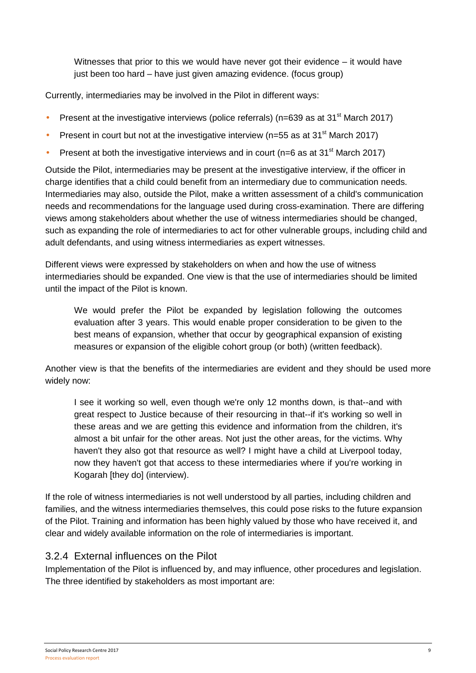Witnesses that prior to this we would have never got their evidence – it would have just been too hard – have just given amazing evidence. (focus group)

Currently, intermediaries may be involved in the Pilot in different ways:

- Present at the investigative interviews (police referrals) ( $n=639$  as at 31<sup>st</sup> March 2017)
- Present in court but not at the investigative interview ( $n=55$  as at 31<sup>st</sup> March 2017)
- Present at both the investigative interviews and in court ( $n=6$  as at 31<sup>st</sup> March 2017)

Outside the Pilot, intermediaries may be present at the investigative interview, if the officer in charge identifies that a child could benefit from an intermediary due to communication needs. Intermediaries may also, outside the Pilot, make a written assessment of a child's communication needs and recommendations for the language used during cross-examination. There are differing views among stakeholders about whether the use of witness intermediaries should be changed, such as expanding the role of intermediaries to act for other vulnerable groups, including child and adult defendants, and using witness intermediaries as expert witnesses.

Different views were expressed by stakeholders on when and how the use of witness intermediaries should be expanded. One view is that the use of intermediaries should be limited until the impact of the Pilot is known.

We would prefer the Pilot be expanded by legislation following the outcomes evaluation after 3 years. This would enable proper consideration to be given to the best means of expansion, whether that occur by geographical expansion of existing measures or expansion of the eligible cohort group (or both) (written feedback).

Another view is that the benefits of the intermediaries are evident and they should be used more widely now:

I see it working so well, even though we're only 12 months down, is that--and with great respect to Justice because of their resourcing in that--if it's working so well in these areas and we are getting this evidence and information from the children, it's almost a bit unfair for the other areas. Not just the other areas, for the victims. Why haven't they also got that resource as well? I might have a child at Liverpool today, now they haven't got that access to these intermediaries where if you're working in Kogarah [they do] (interview).

If the role of witness intermediaries is not well understood by all parties, including children and families, and the witness intermediaries themselves, this could pose risks to the future expansion of the Pilot. Training and information has been highly valued by those who have received it, and clear and widely available information on the role of intermediaries is important.

### 3.2.4 External influences on the Pilot

Implementation of the Pilot is influenced by, and may influence, other procedures and legislation. The three identified by stakeholders as most important are: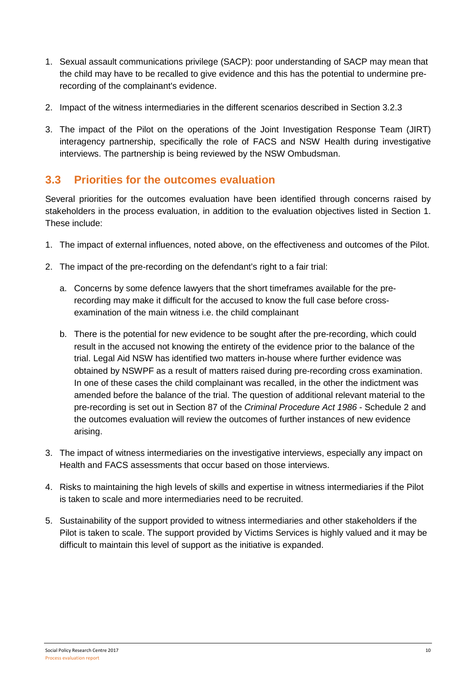- 1. Sexual assault communications privilege (SACP): poor understanding of SACP may mean that the child may have to be recalled to give evidence and this has the potential to undermine prerecording of the complainant's evidence.
- 2. Impact of the witness intermediaries in the different scenarios described in Section 3.2.3
- 3. The impact of the Pilot on the operations of the Joint Investigation Response Team (JIRT) interagency partnership, specifically the role of FACS and NSW Health during investigative interviews. The partnership is being reviewed by the NSW Ombudsman.

### **3.3 Priorities for the outcomes evaluation**

Several priorities for the outcomes evaluation have been identified through concerns raised by stakeholders in the process evaluation, in addition to the evaluation objectives listed in Section 1. These include:

- 1. The impact of external influences, noted above, on the effectiveness and outcomes of the Pilot.
- 2. The impact of the pre-recording on the defendant's right to a fair trial:
	- a. Concerns by some defence lawyers that the short timeframes available for the prerecording may make it difficult for the accused to know the full case before crossexamination of the main witness i.e. the child complainant
	- b. There is the potential for new evidence to be sought after the pre-recording, which could result in the accused not knowing the entirety of the evidence prior to the balance of the trial. Legal Aid NSW has identified two matters in-house where further evidence was obtained by NSWPF as a result of matters raised during pre-recording cross examination. In one of these cases the child complainant was recalled, in the other the indictment was amended before the balance of the trial. The question of additional relevant material to the pre-recording is set out in Section 87 of the Criminal Procedure Act 1986 - Schedule 2 and the outcomes evaluation will review the outcomes of further instances of new evidence arising.
- 3. The impact of witness intermediaries on the investigative interviews, especially any impact on Health and FACS assessments that occur based on those interviews.
- 4. Risks to maintaining the high levels of skills and expertise in witness intermediaries if the Pilot is taken to scale and more intermediaries need to be recruited.
- 5. Sustainability of the support provided to witness intermediaries and other stakeholders if the Pilot is taken to scale. The support provided by Victims Services is highly valued and it may be difficult to maintain this level of support as the initiative is expanded.